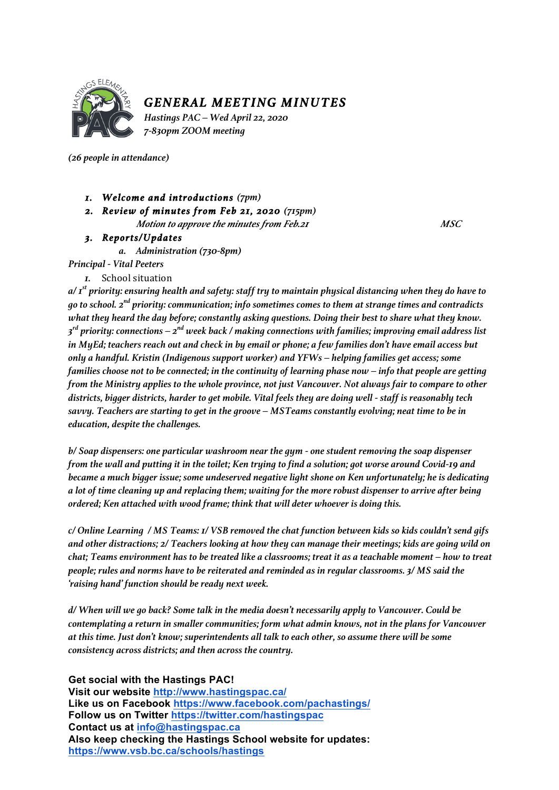

## *GENERAL MEETING MINUTES*

*Hastings PAC – Wed April 22, 2020 7-830pm ZOOM meeting*

*(26 people in attendance)*

- *1. Welcome and introductions (7pm)*
- *2. Review of minutes from Feb 21, 2020 (715pm) Motion to approve the minutes from Feb.21 MSC*

## *3. Reports/Updates*

*a. Administration (730-8pm)*

*Principal - Vital Peeters*

*1.* School situation

*a/ 1 st priority: ensuring health and safety: staff try to maintain physical distancing when they do have to go to school. 2nd priority: communication; info sometimes comes to them at strange times and contradicts what they heard the day before; constantly asking questions. Doing their best to share what they know. 3 rd priority: connections – 2nd week back / making connections with families; improving email address list in MyEd; teachers reach out and check in by email or phone; a few families don't have email access but only a handful. Kristin (Indigenous support worker) and YFWs – helping families get access; some families choose not to be connected; in the continuity of learning phase now – info that people are getting from the Ministry applies to the whole province, not just Vancouver. Not always fair to compare to other districts, bigger districts, harder to get mobile. Vital feels they are doing well - staff is reasonably tech savvy. Teachers are starting to get in the groove – MSTeams constantly evolving; neat time to be in education, despite the challenges.*

*b/ Soap dispensers: one particular washroom near the gym - one student removing the soap dispenser from the wall and putting it in the toilet; Ken trying to find a solution; got worse around Covid-19 and became a much bigger issue; some undeserved negative light shone on Ken unfortunately; he is dedicating a lot of time cleaning up and replacing them; waiting for the more robust dispenser to arrive after being ordered; Ken attached with wood frame; think that will deter whoever is doing this.*

*c/ Online Learning / MS Teams: 1/ VSB removed the chat function between kids so kids couldn't send gifs and other distractions; 2/ Teachers looking at how they can manage their meetings; kids are going wild on chat; Teams environment has to be treated like a classrooms; treat it as a teachable moment – how to treat people; rules and norms have to be reiterated and reminded as in regular classrooms. 3/ MS said the 'raising hand' function should be ready next week.*

*d/ When will we go back? Some talk in the media doesn't necessarily apply to Vancouver. Could be contemplating a return in smaller communities; form what admin knows, not in the plans for Vancouver at this time. Just don't know; superintendents all talk to each other, so assume there will be some consistency across districts; and then across the country.* 

**Get social with the Hastings PAC!**

**Visit our website http://www.hastingspac.ca/ Like us on Facebook https://www.facebook.com/pachastings/ Follow us on Twitter https://twitter.com/hastingspac Contact us at info@hastingspac.ca Also keep checking the Hastings School website for updates: https://www.vsb.bc.ca/schools/hastings**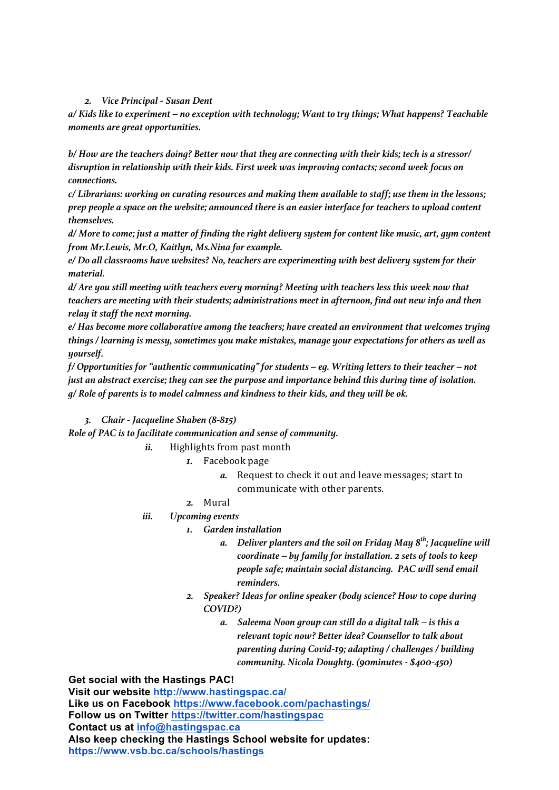## *2. Vice Principal - Susan Dent*

*a/ Kids like to experiment – no exception with technology; Want to try things; What happens? Teachable moments are great opportunities.*

*b/ How are the teachers doing? Better now that they are connecting with their kids; tech is a stressor/ disruption in relationship with their kids. First week was improving contacts; second week focus on connections.*

*c/ Librarians: working on curating resources and making them available to staff; use them in the lessons; prep people a space on the website; announced there is an easier interface for teachers to upload content themselves.*

*d/ More to come; just a matter of finding the right delivery system for content like music, art, gym content from Mr.Lewis, Mr.O, Kaitlyn, Ms.Nina for example.*

*e/ Do all classrooms have websites? No, teachers are experimenting with best delivery system for their material.* 

*d/ Are you still meeting with teachers every morning? Meeting with teachers less this week now that teachers are meeting with their students; administrations meet in afternoon, find out new info and then relay it staff the next morning.* 

*e/ Has become more collaborative among the teachers; have created an environment that welcomes trying things / learning is messy, sometimes you make mistakes, manage your expectations for others as well as yourself.*

*f/ Opportunities for "authentic communicating" for students – eg. Writing letters to their teacher – not just an abstract exercise; they can see the purpose and importance behind this during time of isolation. g/ Role of parents is to model calmness and kindness to their kids, and they will be ok.*

## *3. Chair - Jacqueline Shaben (8-815)*

*Role of PAC is to facilitate communication and sense of community.*

- *ii.* Highlights from past month
	- *1.* Facebook page
		- *a.* Request to check it out and leave messages; start to communicate with other parents.
	- *2.* Mural
- *iii. Upcoming events*
	- *1. Garden installation*
		- *a. Deliver planters and the soil on Friday May 8th; Jacqueline will coordinate – by family for installation. 2 sets of tools to keep people safe; maintain social distancing. PAC will send email reminders.*
	- *2. Speaker? Ideas for online speaker (body science? How to cope during COVID?)*
		- *a. Saleema Noon group can still do a digital talk – is this a relevant topic now? Better idea? Counsellor to talk about parenting during Covid-19; adapting / challenges / building community. Nicola Doughty. (90minutes - \$400-450)*

**Get social with the Hastings PAC!**

**Visit our website http://www.hastingspac.ca/ Like us on Facebook https://www.facebook.com/pachastings/ Follow us on Twitter https://twitter.com/hastingspac Contact us at info@hastingspac.ca Also keep checking the Hastings School website for updates: https://www.vsb.bc.ca/schools/hastings**